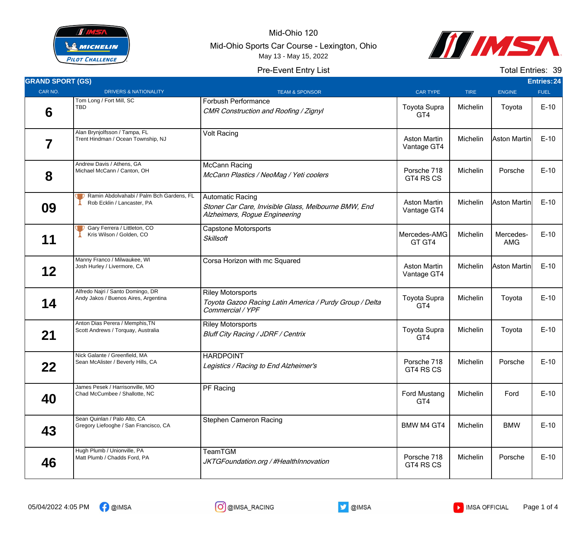

Mid-Ohio 120 Mid-Ohio Sports Car Course - Lexington, Ohio May 13 - May 15, 2022

Pre-Event Entry List



Total Entries: 39

| <b>GRAND SPORT (GS)</b> |                                                                           |                                                                                                                  |                                    |             |                         | <b>Entries: 24</b> |
|-------------------------|---------------------------------------------------------------------------|------------------------------------------------------------------------------------------------------------------|------------------------------------|-------------|-------------------------|--------------------|
| CAR NO.                 | <b>DRIVERS &amp; NATIONALITY</b>                                          | <b>TEAM &amp; SPONSOR</b>                                                                                        | <b>CAR TYPE</b>                    | <b>TIRE</b> | <b>ENGINE</b>           | <b>FUEL</b>        |
| 6                       | Tom Long / Fort Mill, SC<br><b>TBD</b>                                    | <b>Forbush Performance</b><br>CMR Construction and Roofing / Zignyl                                              | <b>Toyota Supra</b><br>GT4         | Michelin    | Toyota                  | $E-10$             |
| 7                       | Alan Brynjolfsson / Tampa, FL<br>Trent Hindman / Ocean Township, NJ       | <b>Volt Racing</b>                                                                                               | <b>Aston Martin</b><br>Vantage GT4 | Michelin    | Aston Martin            | $E-10$             |
| 8                       | Andrew Davis / Athens, GA<br>Michael McCann / Canton, OH                  | McCann Racing<br>McCann Plastics / NeoMag / Yeti coolers                                                         | Porsche 718<br>GT4 RS CS           | Michelin    | Porsche                 | $E-10$             |
| 09                      | Ramin Abdolvahabi / Palm Bch Gardens, FL<br>Rob Ecklin / Lancaster, PA    | <b>Automatic Racing</b><br>Stoner Car Care, Invisible Glass, Melbourne BMW, End<br>Alzheimers, Rogue Engineering | <b>Aston Martin</b><br>Vantage GT4 | Michelin    | Aston Martin            | $E-10$             |
| 11                      | Gary Ferrera / Littleton, CO<br>Kris Wilson / Golden, CO                  | <b>Capstone Motorsports</b><br><b>Skillsoft</b>                                                                  | Mercedes-AMG<br>GT GT4             | Michelin    | Mercedes-<br><b>AMG</b> | $E-10$             |
| 12                      | Manny Franco / Milwaukee, WI<br>Josh Hurley / Livermore, CA               | Corsa Horizon with mc Squared                                                                                    | <b>Aston Martin</b><br>Vantage GT4 | Michelin    | Aston Martin            | $E-10$             |
| 14                      | Alfredo Najri / Santo Domingo, DR<br>Andy Jakos / Buenos Aires, Argentina | <b>Riley Motorsports</b><br>Toyota Gazoo Racing Latin America / Purdy Group / Delta<br>Commercial / YPF          | <b>Toyota Supra</b><br>GT4         | Michelin    | Toyota                  | $E-10$             |
| 21                      | Anton Dias Perera / Memphis, TN<br>Scott Andrews / Torquay, Australia     | <b>Riley Motorsports</b><br>Bluff City Racing / JDRF / Centrix                                                   | <b>Toyota Supra</b><br>GT4         | Michelin    | Toyota                  | $E-10$             |
| 22                      | Nick Galante / Greenfield, MA<br>Sean McAlister / Beverly Hills, CA       | <b>HARDPOINT</b><br>Legistics / Racing to End Alzheimer's                                                        | Porsche 718<br>GT4 RS CS           | Michelin    | Porsche                 | $E-10$             |
| 40                      | James Pesek / Harrisonville, MO<br>Chad McCumbee / Shallotte, NC          | PF Racing                                                                                                        | <b>Ford Mustang</b><br>GT4         | Michelin    | Ford                    | $E-10$             |
| 43                      | Sean Quinlan / Palo Alto, CA<br>Gregory Liefooghe / San Francisco, CA     | <b>Stephen Cameron Racing</b>                                                                                    | BMW M4 GT4                         | Michelin    | <b>BMW</b>              | $E-10$             |

Hugh Plumb / Unionville, PA Matt Plumb / Chadds Ford, PA

**46**

TeamTGM



Team Tam<br>JKTGFoundation.org / #HealthInnovation Porsche 718

GT4 RS CS



Michelin | Porsche | E-10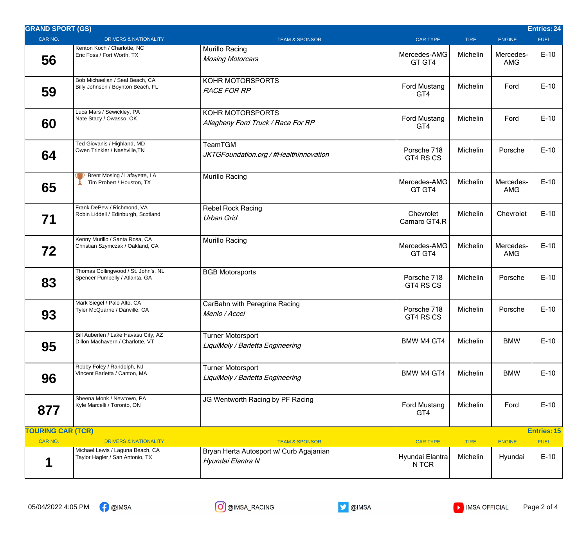| <b>GRAND SPORT (GS)</b>                        |                                                                                                         |                                                                                           |                                             |                         |                          | <b>Entries: 24</b>    |
|------------------------------------------------|---------------------------------------------------------------------------------------------------------|-------------------------------------------------------------------------------------------|---------------------------------------------|-------------------------|--------------------------|-----------------------|
| CAR NO.                                        | <b>DRIVERS &amp; NATIONALITY</b>                                                                        | <b>TEAM &amp; SPONSOR</b>                                                                 | <b>CAR TYPE</b>                             | <b>TIRE</b>             | <b>ENGINE</b>            | <b>FUEL</b>           |
| 56                                             | Kenton Koch / Charlotte, NC<br>Eric Foss / Fort Worth, TX                                               | <b>Murillo Racing</b><br><b>Mosing Motorcars</b>                                          | Mercedes-AMG<br>GT GT4                      | Michelin                | Mercedes-<br>AMG         | $E-10$                |
| 59                                             | Bob Michaelian / Seal Beach, CA<br>Billy Johnson / Boynton Beach, FL                                    | KOHR MOTORSPORTS<br><b>RACE FOR RP</b>                                                    | Ford Mustang<br>GT4                         | Michelin                | Ford                     | $E-10$                |
| 60                                             | Luca Mars / Sewickley, PA<br>Nate Stacy / Owasso, OK                                                    | KOHR MOTORSPORTS<br>Allegheny Ford Truck / Race For RP                                    | <b>Ford Mustang</b><br>GT4                  | Michelin                | Ford                     | $E-10$                |
| 64                                             | Ted Giovanis / Highland, MD<br>Owen Trinkler / Nashville, TN                                            | TeamTGM<br>JKTGFoundation.org / #HealthInnovation                                         | Porsche 718<br>GT4 RS CS                    | Michelin                | Porsche                  | $E-10$                |
| 65                                             | <b>D</b> Brent Mosing / Lafayette, LA<br>Tim Probert / Houston, TX                                      | <b>Murillo Racing</b>                                                                     | Mercedes-AMG<br>GT GT4                      | Michelin                | Mercedes-<br><b>AMG</b>  | $E-10$                |
| 71                                             | Frank DePew / Richmond, VA<br>Robin Liddell / Edinburgh, Scotland                                       | <b>Rebel Rock Racing</b><br><b>Urban Grid</b>                                             | Chevrolet<br>Camaro GT4.R                   | Michelin                | Chevrolet                | $E-10$                |
| 72                                             | Kenny Murillo / Santa Rosa, CA<br>Christian Szymczak / Oakland, CA                                      | Murillo Racing                                                                            | Mercedes-AMG<br>GT GT4                      | Michelin                | Mercedes-<br>AMG         | $E-10$                |
| 83                                             | Thomas Collingwood / St. John's, NL<br>Spencer Pumpelly / Atlanta, GA                                   | <b>BGB Motorsports</b>                                                                    | Porsche 718<br>GT4 RS CS                    | Michelin                | Porsche                  | $E-10$                |
| 93                                             | Mark Siegel / Palo Alto, CA<br>Tyler McQuarrie / Danville, CA                                           | CarBahn with Peregrine Racing<br>Menlo / Accel                                            | Porsche 718<br>GT4 RS CS                    | Michelin                | Porsche                  | $E-10$                |
| 95                                             | Bill Auberlen / Lake Havasu City, AZ<br>Dillon Machavern / Charlotte, VT                                | <b>Turner Motorsport</b><br>LiquiMoly / Barletta Engineering                              | BMW M4 GT4                                  | Michelin                | <b>BMW</b>               | $E-10$                |
| 96                                             | Robby Foley / Randolph, NJ<br>Vincent Barletta / Canton, MA                                             | <b>Turner Motorsport</b><br>LiquiMoly / Barletta Engineering                              | <b>BMW M4 GT4</b>                           | Michelin                | <b>BMW</b>               | $E-10$                |
| 877                                            | Sheena Monk / Newtown, PA<br>Kyle Marcelli / Toronto, ON                                                | JG Wentworth Racing by PF Racing                                                          | Ford Mustang<br>GT4                         | Michelin                | Ford                     | $E-10$                |
| <b>TOURING CAR (TCR)</b><br><b>Entries: 15</b> |                                                                                                         |                                                                                           |                                             |                         |                          |                       |
| CAR NO.                                        | <b>DRIVERS &amp; NATIONALITY</b><br>Michael Lewis / Laguna Beach, CA<br>Taylor Hagler / San Antonio, TX | <b>TEAM &amp; SPONSOR</b><br>Bryan Herta Autosport w/ Curb Agajanian<br>Hyundai Elantra N | <b>CAR TYPE</b><br>Hyundai Elantra<br>N TCR | <b>TIRE</b><br>Michelin | <b>ENGINE</b><br>Hyundai | <b>FUEL</b><br>$E-10$ |

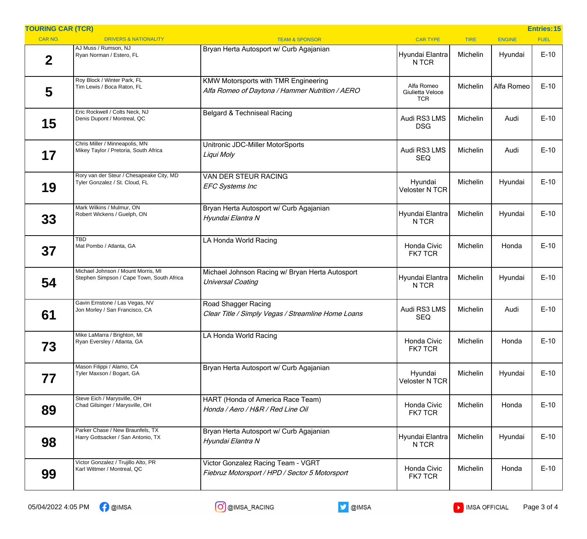| <b>TOURING CAR (TCR)</b> |                                                                                 |                                                                                                |                                              |             |               | <b>Entries: 15</b> |
|--------------------------|---------------------------------------------------------------------------------|------------------------------------------------------------------------------------------------|----------------------------------------------|-------------|---------------|--------------------|
| CAR NO.                  | <b>DRIVERS &amp; NATIONALITY</b>                                                | <b>TEAM &amp; SPONSOR</b>                                                                      | <b>CAR TYPE</b>                              | <b>TIRE</b> | <b>ENGINE</b> | <b>FUEL</b>        |
| $\overline{2}$           | AJ Muss / Rumson, NJ<br>Ryan Norman / Estero, FL                                | Bryan Herta Autosport w/ Curb Agajanian                                                        | Hyundai Elantra<br>N TCR                     | Michelin    | Hyundai       | $E-10$             |
| 5                        | Roy Block / Winter Park, FL<br>Tim Lewis / Boca Raton, FL                       | <b>KMW Motorsports with TMR Engineering</b><br>Alfa Romeo of Daytona / Hammer Nutrition / AERO | Alfa Romeo<br>Giulietta Veloce<br><b>TCR</b> | Michelin    | Alfa Romeo    | $E-10$             |
| 15                       | Eric Rockwell / Colts Neck, NJ<br>Denis Dupont / Montreal, QC                   | Belgard & Techniseal Racing                                                                    | Audi RS3 LMS<br><b>DSG</b>                   | Michelin    | Audi          | $E-10$             |
| 17                       | Chris Miller / Minneapolis, MN<br>Mikey Taylor / Pretoria, South Africa         | Unitronic JDC-Miller MotorSports<br>Liqui Moly                                                 | Audi RS3 LMS<br><b>SEQ</b>                   | Michelin    | Audi          | $E-10$             |
| 19                       | Rory van der Steur / Chesapeake City, MD<br>Tyler Gonzalez / St. Cloud, FL      | VAN DER STEUR RACING<br><b>EFC Systems Inc</b>                                                 | Hyundai<br><b>Veloster N TCR</b>             | Michelin    | Hyundai       | $E-10$             |
| 33                       | Mark Wilkins / Mulmur, ON<br>Robert Wickens / Guelph, ON                        | Bryan Herta Autosport w/ Curb Agajanian<br>Hyundai Elantra N                                   | Hyundai Elantra<br>N TCR                     | Michelin    | Hyundai       | $E-10$             |
| 37                       | <b>TBD</b><br>Mat Pombo / Atlanta, GA                                           | LA Honda World Racing                                                                          | Honda Civic<br><b>FK7 TCR</b>                | Michelin    | Honda         | $E-10$             |
| 54                       | Michael Johnson / Mount Morris, MI<br>Stephen Simpson / Cape Town, South Africa | Michael Johnson Racing w/ Bryan Herta Autosport<br>Universal Coating                           | Hyundai Elantra<br>N TCR                     | Michelin    | Hyundai       | $E-10$             |
| 61                       | Gavin Ernstone / Las Vegas, NV<br>Jon Morley / San Francisco, CA                | Road Shagger Racing<br>Clear Title / Simply Vegas / Streamline Home Loans                      | Audi RS3 LMS<br><b>SEQ</b>                   | Michelin    | Audi          | $E-10$             |
| 73                       | Mike LaMarra / Brighton, MI<br>Ryan Eversley / Atlanta, GA                      | LA Honda World Racing                                                                          | Honda Civic<br><b>FK7 TCR</b>                | Michelin    | Honda         | $E-10$             |
| 77                       | Mason Filippi / Alamo, CA<br>Tyler Maxson / Bogart, GA                          | Bryan Herta Autosport w/ Curb Agajanian                                                        | Hyundai<br><b>Veloster N TCR</b>             | Michelin    | Hyundai       | $E-10$             |
| 89                       | Steve Eich / Marysville, OH<br>Chad Gilsinger / Marysville, OH                  | HART (Honda of America Race Team)<br>Honda / Aero / H&R / Red Line Oil                         | Honda Civic<br><b>FK7 TCR</b>                | Michelin    | Honda         | $E-10$             |
| 98                       | Parker Chase / New Braunfels, TX<br>Harry Gottsacker / San Antonio, TX          | Bryan Herta Autosport w/ Curb Agajanian<br>Hyundai Elantra N                                   | Hyundai Elantra<br>N TCR                     | Michelin    | Hyundai       | $E-10$             |
| 99                       | Victor Gonzalez / Trujillo Alto, PR<br>Karl Wittmer / Montreal, QC              | Victor Gonzalez Racing Team - VGRT<br>Fiebruz Motorsport / HPD / Sector 5 Motorsport           | Honda Civic<br>FK7 TCR                       | Michelin    | Honda         | $E-10$             |